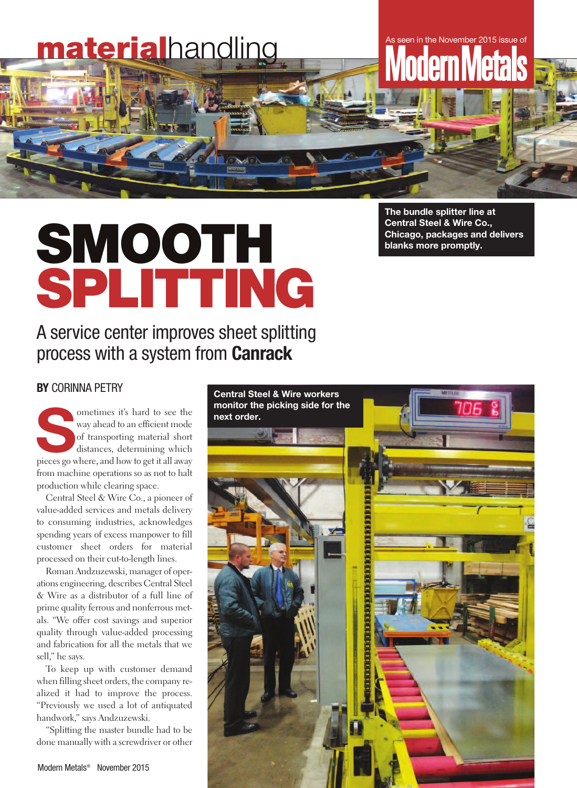# **material**handling As seen in the November 2015 issue of

# **SMOOTH SPLITTING**

## A service center improves sheet splitting process with a system from **Canrack**

**The bundle splitter line at Central Steel & Wire Co., Chicago, packages and delivers blanks more promptly.**

#### **BY** CORINNA PETRY

**Sometimes it's hard to see the**<br>
way ahead to an efficient mode<br>
of transporting material short<br>
distances, determining which<br>
pieces go where, and how to get it all away way ahead to an efficient mode of transporting material short distances, determining which from machine operations so as not to halt production while clearing space.

Central Steel & Wire Co., a pioneer of value-added services and metals delivery to consuming industries, acknowledges spending years of excess manpower to fill customer sheet orders for material processed on their cut-to-length lines.

Roman Andzuzewski, manager of operations engineering, describes Central Steel & Wire as a distributor of a full line of prime quality ferrous and nonferrous metals. "We offer cost savings and superior quality through value-added processing and fabrication for all the metals that we sell," he says.

To keep up with customer demand when filling sheet orders, the company realized it had to improve the process. "Previously we used a lot of antiquated handwork," says Andzuzewski.

"Splitting the master bundle had to be done manually with a screwdriver or other